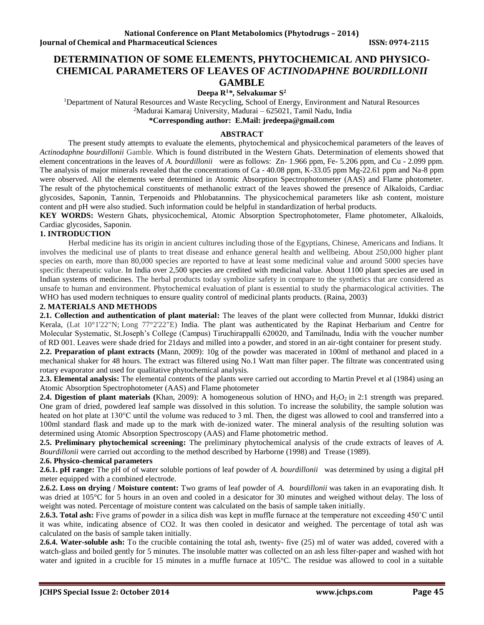# **DETERMINATION OF SOME ELEMENTS, PHYTOCHEMICAL AND PHYSICO-CHEMICAL PARAMETERS OF LEAVES OF** *ACTINODAPHNE BOURDILLONII* **GAMBLE**

**Deepa R<sup>1</sup>***\****, Selvakumar S<sup>2</sup>**

<sup>1</sup>Department of Natural Resources and Waste Recycling, School of Energy, Environment and Natural Resources <sup>2</sup>Madurai Kamaraj University, Madurai – 625021, Tamil Nadu, India

**\*Corresponding author: E.Mail: jredeepa@gmail.com**

### **ABSTRACT**

The present study attempts to evaluate the elements, phytochemical and physicochemical parameters of the leaves of *Actinodaphne bourdillonii* Gamble. Which is found distributed in the Western Ghats. Determination of elements showed that element concentrations in the leaves of *A. bourdillonii* were as follows: Zn- 1.966 ppm, Fe- 5.206 ppm, and Cu - 2.099 ppm. The analysis of major minerals revealed that the concentrations of Ca - 40.08 ppm, K-33.05 ppm Mg-22.61 ppm and Na-8 ppm were observed. All the elements were determined in Atomic Absorption Spectrophotometer (AAS) and Flame photometer. The result of the phytochemical constituents of methanolic extract of the leaves showed the presence of Alkaloids, Cardiac glycosides, Saponin, Tannin, Terpenoids and Phlobatannins. The physicochemical parameters like ash content, moisture content and pH were also studied. Such information could be helpful in standardization of herbal products.

**KEY WORDS:** Western Ghats, physicochemical, Atomic Absorption Spectrophotometer, Flame photometer, Alkaloids, Cardiac glycosides, Saponin.

## **1. INTRODUCTION**

Herbal medicine has its origin in ancient cultures including those of the Egyptians, Chinese, Americans and Indians. It involves the medicinal use of plants to treat disease and enhance general health and wellbeing. About 250,000 higher plant species on earth, more than 80,000 species are reported to have at least some medicinal value and around 5000 species have specific therapeutic value. In India over 2,500 species are credited with medicinal value. About 1100 plant species are used in Indian systems of medicines. The herbal products today symbolize safety in compare to the synthetics that are considered as unsafe to human and environment. Phytochemical evaluation of plant is essential to study the pharmacological activities. The WHO has used modern techniques to ensure quality control of medicinal plants products. (Raina, 2003)

#### **2. MATERIALS AND METHODS**

**2.1. Collection and authentication of plant material:** The leaves of the plant were collected from Munnar, Idukki district Kerala, (Lat 10°1'22"N; Long 77°2'22"E) India. The plant was authenticated by the Rapinat Herbarium and Centre for Molecular Systematic, St.Joseph's College (Campus) Tiruchirappalli 620020, and Tamilnadu, India with the voucher number of RD 001. Leaves were shade dried for 21days and milled into a powder, and stored in an air-tight container for present study.

**2.2. Preparation of plant extracts (**Mann, 2009): 10g of the powder was macerated in 100ml of methanol and placed in a mechanical shaker for 48 hours. The extract was filtered using No.1 Watt man filter paper. The filtrate was concentrated using rotary evaporator and used for qualitative phytochemical analysis.

**2.3. Elemental analysis:** The elemental contents of the plants were carried out according to Martin Prevel et al (1984) using an Atomic Absorption Spectrophotometer (AAS) and Flame photometer

**2.4. Digestion of plant materials (Khan, 2009):** A homogeneous solution of HNO<sub>3</sub> and H<sub>2</sub>O<sub>2</sub> in 2:1 strength was prepared. One gram of dried, powdered leaf sample was dissolved in this solution. To increase the solubility, the sample solution was heated on hot plate at 130°C until the volume was reduced to 3 ml. Then, the digest was allowed to cool and transferred into a 100ml standard flask and made up to the mark with de-ionized water. The mineral analysis of the resulting solution was determined using Atomic Absorption Spectroscopy (AAS) and Flame photometric method.

**2.5. Preliminary phytochemical screening:** The preliminary phytochemical analysis of the crude extracts of leaves of *A. Bourdillonii* were carried out according to the method described by Harborne (1998) and Trease (1989).

#### **2.6. Physico-chemical parameters**

**2.6.1. pH range:** The pH of of water soluble portions of leaf powder of *A. bourdillonii* was determined by using a digital pH meter equipped with a combined electrode.

**2.6.2. Loss on drying / Moisture content:** Two grams of leaf powder of *A. bourdillonii* was taken in an evaporating dish. It was dried at 105°C for 5 hours in an oven and cooled in a desicator for 30 minutes and weighed without delay. The loss of weight was noted. Percentage of moisture content was calculated on the basis of sample taken initially.

**2.6.3. Total ash:** Five grams of powder in a silica dish was kept in muffle furnace at the temperature not exceeding 450˚C until it was white, indicating absence of CO2. It was then cooled in desicator and weighed. The percentage of total ash was calculated on the basis of sample taken initially.

**2.6.4. Water-soluble ash:** To the crucible containing the total ash, twenty- five (25) ml of water was added, covered with a watch-glass and boiled gently for 5 minutes. The insoluble matter was collected on an ash less filter-paper and washed with hot water and ignited in a crucible for 15 minutes in a muffle furnace at 105°C. The residue was allowed to cool in a suitable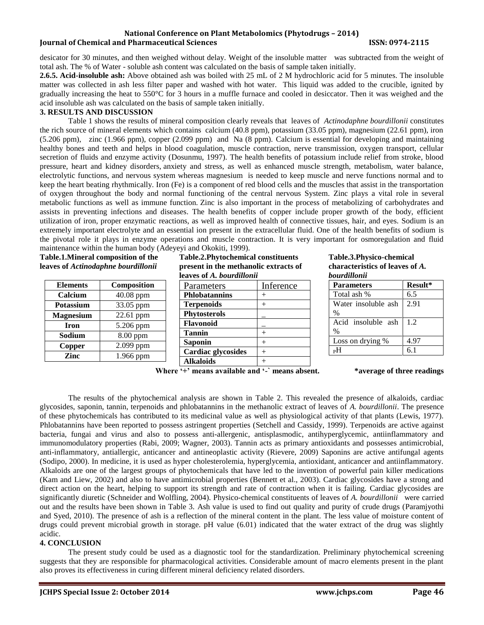## **National Conference on Plant Metabolomics (Phytodrugs – 2014) Iournal of Chemical and Pharmaceutical Sciences ISSN: 0974-2115**

desicator for 30 minutes, and then weighed without delay. Weight of the insoluble matter was subtracted from the weight of total ash. The % of Water - soluble ash content was calculated on the basis of sample taken initially.

**2.6.5. Acid-insoluble ash:** Above obtained ash was boiled with 25 mL of 2 M hydrochloric acid for 5 minutes. The insoluble matter was collected in ash less filter paper and washed with hot water. This liquid was added to the crucible, ignited by gradually increasing the heat to 550°C for 3 hours in a muffle furnace and cooled in desiccator. Then it was weighed and the acid insoluble ash was calculated on the basis of sample taken initially.

## **3. RESULTS AND DISCUSSION**

Table 1 shows the results of mineral composition clearly reveals that leaves of *Actinodaphne bourdillonii* constitutes the rich source of mineral elements which contains calcium (40.8 ppm), potassium (33.05 ppm), magnesium (22.61 ppm), iron (5.206 ppm), zinc (1.966 ppm), copper (2.099 ppm) and Na (8 ppm). Calcium is essential for developing and maintaining healthy bones and teeth and helps in blood coagulation, muscle contraction, nerve transmission, oxygen transport, cellular secretion of fluids and enzyme activity (Dosunmu, 1997). The health benefits of potassium include relief from stroke, blood pressure, heart and kidney disorders, anxiety and stress, as well as enhanced muscle strength, metabolism, water balance, electrolytic functions, and nervous system whereas magnesium is needed to keep muscle and nerve functions normal and to keep the heart beating rhythmically. Iron (Fe) is a component of red blood cells and the muscles that assist in the transportation of oxygen throughout the body and normal functioning of the central nervous System. Zinc plays a vital role in several metabolic functions as well as immune function. Zinc is also important in the process of metabolizing of carbohydrates and assists in preventing infections and diseases. The health benefits of copper include proper growth of the body, efficient utilization of iron, proper enzymatic reactions, as well as improved health of connective tissues, hair, and eyes. Sodium is an extremely important electrolyte and an essential ion present in the extracellular fluid. One of the health benefits of sodium is the pivotal role it plays in enzyme operations and muscle contraction. It is very important for osmoregulation and fluid maintenance within the human body (Adeyeyi and Okokiti, 1999).

**Table.1.Mineral composition of the leaves of** *Actinodaphne bourdillonii*

| <b>Elements</b>  | Composition |
|------------------|-------------|
| Calcium          | 40.08 ppm   |
| <b>Potassium</b> | 33.05 ppm   |
| <b>Magnesium</b> | 22.61 ppm   |
| <b>Iron</b>      | 5.206 ppm   |
| Sodium           | 8.00 ppm    |
| Copper           | 2.099 ppm   |
| Zinc             | 1.966 ppm   |

**Table.2.Phytochemical constituents present in the methanolic extracts of leaves of** *A. bourdillonii*

| icavcs vi A. <i>Douranonu</i> |           |
|-------------------------------|-----------|
| Parameters                    | Inference |
| <b>Phlobatannins</b>          |           |
| <b>Terpenoids</b>             |           |
| <b>Phytosterols</b>           |           |
| Flavonoid                     |           |
| <b>Tannin</b>                 |           |
| <b>Saponin</b>                |           |
| <b>Cardiac glycosides</b>     |           |
| Alkaloids                     |           |

#### **Table.3.Physico-chemical characteristics of leaves of** *A. bourdillonii*

| <b>Parameters</b>   | Result* |  |
|---------------------|---------|--|
| Total ash %         | 6.5     |  |
| Water insoluble ash | 2.91    |  |
| $\%$                |         |  |
| Acid insoluble ash  | 1.2     |  |
| $\%$                |         |  |
| Loss on drying %    | 4.97    |  |
|                     |         |  |

**Where '+' means available and '-` means absent. \*average of three readings**

The results of the phytochemical analysis are shown in Table 2. This revealed the presence of alkaloids, cardiac glycosides, saponin, tannin, terpenoids and phlobatannins in the methanolic extract of leaves of *A. bourdillonii*. The presence of these phytochemicals has contributed to its medicinal value as well as physiological activity of that plants (Lewis, 1977). Phlobatannins have been reported to possess astringent properties (Setchell and Cassidy, 1999). Terpenoids are active against bacteria, fungai and virus and also to possess anti-allergenic, antisplasmodic, antihyperglycemic, antiinflammatory and immunomodulatory properties (Rabi, 2009; Wagner, 2003). Tannin acts as primary antioxidants and possesses antimicrobial, anti-inflammatory, antiallergic, anticancer and antineoplastic activity (Rievere, 2009) Saponins are active antifungal agents (Sodipo, 2000). In medicine, it is used as hyper cholesterolemia, hyperglycemia, antioxidant, anticancer and antiinflammatory. Alkaloids are one of the largest groups of phytochemicals that have led to the invention of powerful pain killer medications (Kam and Liew, 2002) and also to have antimicrobial properties (Bennett et al., 2003). Cardiac glycosides have a strong and direct action on the heart, helping to support its strength and rate of contraction when it is failing. Cardiac glycosides are significantly diuretic (Schneider and Wolfling, 2004). Physico-chemical constituents of leaves of *A. bourdillonii* were carried out and the results have been shown in Table 3. Ash value is used to find out quality and purity of crude drugs (Paramjyothi and Syed, 2010). The presence of ash is a reflection of the mineral content in the plant. The less value of moisture content of drugs could prevent microbial growth in storage. pH value (6.01) indicated that the water extract of the drug was slightly acidic.

## **4. CONCLUSION**

The present study could be used as a diagnostic tool for the standardization. Preliminary phytochemical screening suggests that they are responsible for pharmacological activities. Considerable amount of macro elements present in the plant also proves its effectiveness in curing different mineral deficiency related disorders.